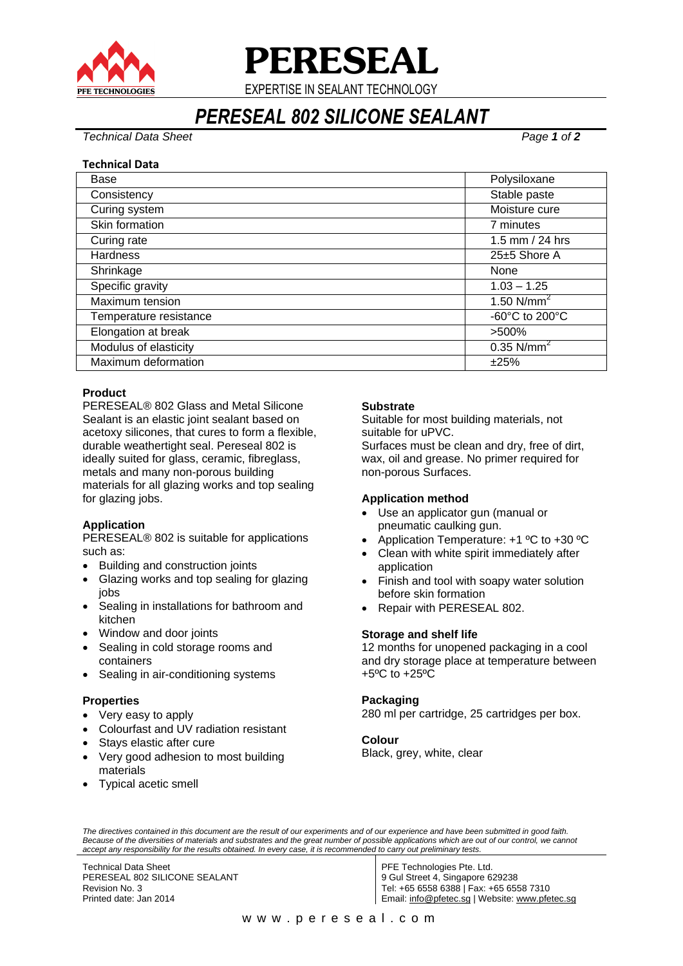

**PERESEAL**

EXPERTISE IN SEALANT TECHNOLOGY

# *PERESEAL 802 SILICONE SEALANT*

*Technical Data Sheet Page 1 of 2*

#### **Technical Data**

| Base                   | Polysiloxane             |
|------------------------|--------------------------|
| Consistency            | Stable paste             |
| Curing system          | Moisture cure            |
| Skin formation         | 7 minutes                |
| Curing rate            | 1.5 mm $/$ 24 hrs        |
| <b>Hardness</b>        | 25±5 Shore A             |
| Shrinkage              | None                     |
| Specific gravity       | $1.03 - 1.25$            |
| Maximum tension        | 1.50 $N/mm^2$            |
| Temperature resistance | -60°C to 200°C           |
| Elongation at break    | >500%                    |
| Modulus of elasticity  | $0.35$ N/mm <sup>2</sup> |
| Maximum deformation    | ±25%                     |

## **Product**

PERESEAL® 802 Glass and Metal Silicone Sealant is an elastic joint sealant based on acetoxy silicones, that cures to form a flexible, durable weathertight seal. Pereseal 802 is ideally suited for glass, ceramic, fibreglass, metals and many non-porous building materials for all glazing works and top sealing for glazing jobs.

# **Application**

PERESEAL® 802 is suitable for applications such as:

- Building and construction joints
- Glazing works and top sealing for glazing iobs
- Sealing in installations for bathroom and kitchen
- Window and door joints
- Sealing in cold storage rooms and containers
- Sealing in air-conditioning systems

#### **Properties**

- Very easy to apply
- Colourfast and UV radiation resistant
- Stays elastic after cure
- Very good adhesion to most building materials
- Typical acetic smell

## **Substrate**

Suitable for most building materials, not suitable for uPVC. Surfaces must be clean and dry, free of dirt,

wax, oil and grease. No primer required for non-porous Surfaces.

#### **Application method**

- Use an applicator gun (manual or pneumatic caulking gun.
- Application Temperature: +1 ºC to +30 ºC
- Clean with white spirit immediately after application
- Finish and tool with soapy water solution before skin formation
- Repair with PERESEAL 802.

#### **Storage and shelf life**

12 months for unopened packaging in a cool and dry storage place at temperature between +5ºC to +25ºC

#### **Packaging**

280 ml per cartridge, 25 cartridges per box.

#### **Colour**

Black, grey, white, clear

*The directives contained in this document are the result of our experiments and of our experience and have been submitted in good faith.*  Because of the diversities of materials and substrates and the great number of possible applications which are out of our control, we cannot *accept any responsibility for the results obtained. In every case, it is recommended to carry out preliminary tests.*

Technical Data Sheet PERESEAL 802 SILICONE SEALANT Revision No. 3 Printed date: Jan 2014

PFE Technologies Pte. Ltd. 9 Gul Street 4, Singapore 629238 Tel: +65 6558 6388 | Fax: +65 6558 7310 Email: [info@pfetec.sg](mailto:info@pfetec.sg) | Website: www.pfetec.sg